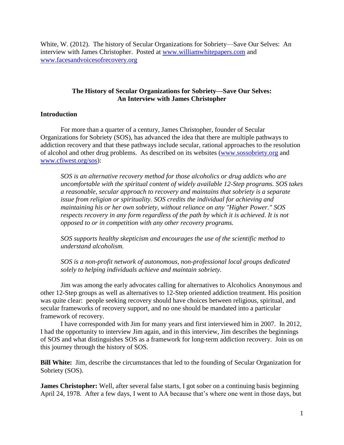White, W. (2012). The history of Secular Organizations for Sobriety—Save Our Selves: An interview with James Christopher. Posted at [www.williamwhitepapers.com](http://www.williamwhitepapers.com/) and [www.facesandvoicesofrecovery.org](http://www.facesandvoicesofrecovery.org/)

### **The History of Secular Organizations for Sobriety—Save Our Selves: An Interview with James Christopher**

### **Introduction**

For more than a quarter of a century, James Christopher, founder of Secular Organizations for Sobriety (SOS), has advanced the idea that there are multiple pathways to addiction recovery and that these pathways include secular, rational approaches to the resolution of alcohol and other drug problems. As described on its websites [\(www.sossobriety.org](http://www.sossobriety.org/) and [www.cfiwest.org/sos\)](http://www.cfiwest.org/sos):

*SOS is an alternative recovery method for those alcoholics or drug addicts who are uncomfortable with the spiritual content of widely available 12-Step programs. SOS takes a reasonable, secular approach to recovery and maintains that sobriety is a separate issue from religion or spirituality. SOS credits the individual for achieving and maintaining his or her own sobriety, without reliance on any "Higher Power." SOS respects recovery in any form regardless of the path by which it is achieved. It is not opposed to or in competition with any other recovery programs.*

*SOS supports healthy skepticism and encourages the use of the scientific method to understand alcoholism.*

*SOS is a non-profit network of autonomous, non-professional local groups dedicated solely to helping individuals achieve and maintain sobriety.*

Jim was among the early advocates calling for alternatives to Alcoholics Anonymous and other 12-Step groups as well as alternatives to 12-Step oriented addiction treatment. His position was quite clear: people seeking recovery should have choices between religious, spiritual, and secular frameworks of recovery support, and no one should be mandated into a particular framework of recovery.

I have corresponded with Jim for many years and first interviewed him in 2007. In 2012, I had the opportunity to interview Jim again, and in this interview, Jim describes the beginnings of SOS and what distinguishes SOS as a framework for long-term addiction recovery. Join us on this journey through the history of SOS.

**Bill White:** Jim, describe the circumstances that led to the founding of Secular Organization for Sobriety (SOS).

**James Christopher:** Well, after several false starts, I got sober on a continuing basis beginning April 24, 1978. After a few days, I went to AA because that's where one went in those days, but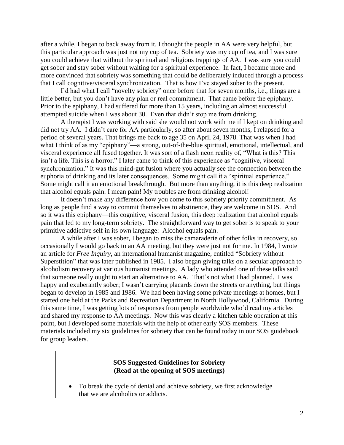after a while, I began to back away from it. I thought the people in AA were very helpful, but this particular approach was just not my cup of tea. Sobriety was my cup of tea, and I was sure you could achieve that without the spiritual and religious trappings of AA. I was sure you could get sober and stay sober without waiting for a spiritual experience. In fact, I became more and more convinced that sobriety was something that could be deliberately induced through a process that I call cognitive/visceral synchronization. That is how I've stayed sober to the present.

I'd had what I call "novelty sobriety" once before that for seven months, i.e., things are a little better, but you don't have any plan or real commitment. That came before the epiphany. Prior to the epiphany, I had suffered for more than 15 years, including an almost successful attempted suicide when I was about 30. Even that didn't stop me from drinking.

A therapist I was working with said she would not work with me if I kept on drinking and did not try AA. I didn't care for AA particularly, so after about seven months, I relapsed for a period of several years. That brings me back to age 35 on April 24, 1978. That was when I had what I think of as my "epiphany"—a strong, out-of-the-blue spiritual, emotional, intellectual, and visceral experience all fused together. It was sort of a flash neon reality of, "What is this? This isn't a life. This is a horror." I later came to think of this experience as "cognitive, visceral synchronization." It was this mind-gut fusion where you actually see the connection between the euphoria of drinking and its later consequences. Some might call it a "spiritual experience." Some might call it an emotional breakthrough. But more than anything, it is this deep realization that alcohol equals pain. I mean pain! My troubles are from drinking alcohol!

It doesn't make any difference how you come to this sobriety priority commitment. As long as people find a way to commit themselves to abstinence, they are welcome in SOS. And so it was this epiphany—this cognitive, visceral fusion, this deep realization that alcohol equals pain that led to my long-term sobriety. The straightforward way to get sober is to speak to your primitive addictive self in its own language: Alcohol equals pain.

A while after I was sober, I began to miss the camaraderie of other folks in recovery, so occasionally I would go back to an AA meeting, but they were just not for me. In 1984, I wrote an article for *Free Inquiry*, an international humanist magazine, entitled "Sobriety without Superstition" that was later published in 1985. I also began giving talks on a secular approach to alcoholism recovery at various humanist meetings. A lady who attended one of these talks said that someone really ought to start an alternative to AA. That's not what I had planned. I was happy and exuberantly sober; I wasn't carrying placards down the streets or anything, but things began to develop in 1985 and 1986. We had been having some private meetings at homes, but I started one held at the Parks and Recreation Department in North Hollywood, California. During this same time, I was getting lots of responses from people worldwide who'd read my articles and shared my response to AA meetings. Now this was clearly a kitchen table operation at this point, but I developed some materials with the help of other early SOS members. These materials included my six guidelines for sobriety that can be found today in our SOS guidebook for group leaders.

#### **SOS Suggested Guidelines for Sobriety (Read at the opening of SOS meetings)**

 To break the cycle of denial and achieve sobriety, we first acknowledge that we are alcoholics or addicts.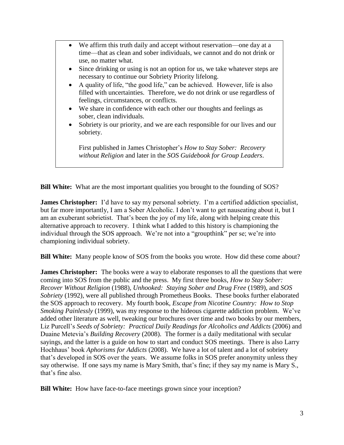- We affirm this truth daily and accept without reservation—one day at a time—that as clean and sober individuals, we cannot and do not drink or use, no matter what.
- Since drinking or using is not an option for us, we take whatever steps are necessary to continue our Sobriety Priority lifelong.
- A quality of life, "the good life," can be achieved. However, life is also filled with uncertainties. Therefore, we do not drink or use regardless of feelings, circumstances, or conflicts.
- We share in confidence with each other our thoughts and feelings as sober, clean individuals.
- Sobriety is our priority, and we are each responsible for our lives and our sobriety.

First published in James Christopher's *How to Stay Sober: Recovery without Religion* and later in the *SOS Guidebook for Group Leaders*.

**Bill White:** What are the most important qualities you brought to the founding of SOS?

**James Christopher:** I'd have to say my personal sobriety. I'm a certified addiction specialist, but far more importantly, I am a Sober Alcoholic. I don't want to get nauseating about it, but I am an exuberant sobrietist. That's been the joy of my life, along with helping create this alternative approach to recovery. I think what I added to this history is championing the individual through the SOS approach. We're not into a "groupthink" per se; we're into championing individual sobriety.

**Bill White:** Many people know of SOS from the books you wrote. How did these come about?

**James Christopher:** The books were a way to elaborate responses to all the questions that were coming into SOS from the public and the press. My first three books, *How to Stay Sober: Recover Without Religion* (1988), *Unhooked: Staying Sober and Drug Free* (1989), and *SOS Sobriety* (1992), were all published through Prometheus Books. These books further elaborated the SOS approach to recovery. My fourth book, *Escape from Nicotine Country: How to Stop Smoking Painlessly* (1999), was my response to the hideous cigarette addiction problem. We've added other literature as well, tweaking our brochures over time and two books by our members, Liz Purcell's *Seeds of Sobriety: Practical Daily Readings for Alcoholics and Addicts* (2006) and Duaine Metevia's *Building Recovery* (2008). The former is a daily meditational with secular sayings, and the latter is a guide on how to start and conduct SOS meetings. There is also Larry Hochhaus' book *Aphorisms for Addicts* (2008). We have a lot of talent and a lot of sobriety that's developed in SOS over the years. We assume folks in SOS prefer anonymity unless they say otherwise. If one says my name is Mary Smith, that's fine; if they say my name is Mary S., that's fine also.

**Bill White:** How have face-to-face meetings grown since your inception?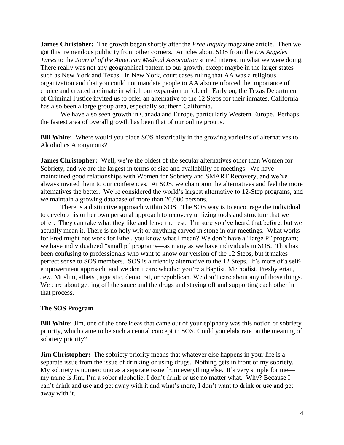**James Christoher:** The growth began shortly after the *Free Inquiry* magazine article. Then we got this tremendous publicity from other corners. Articles about SOS from the *Los Angeles Times* to the *Journal of the American Medical Association* stirred interest in what we were doing. There really was not any geographical pattern to our growth, except maybe in the larger states such as New York and Texas. In New York, court cases ruling that AA was a religious organization and that you could not mandate people to AA also reinforced the importance of choice and created a climate in which our expansion unfolded. Early on, the Texas Department of Criminal Justice invited us to offer an alternative to the 12 Steps for their inmates. California has also been a large group area, especially southern California.

We have also seen growth in Canada and Europe, particularly Western Europe. Perhaps the fastest area of overall growth has been that of our online groups.

**Bill White:** Where would you place SOS historically in the growing varieties of alternatives to Alcoholics Anonymous?

**James Christopher:** Well, we're the oldest of the secular alternatives other than Women for Sobriety, and we are the largest in terms of size and availability of meetings. We have maintained good relationships with Women for Sobriety and SMART Recovery, and we've always invited them to our conferences. At SOS, we champion the alternatives and feel the more alternatives the better. We're considered the world's largest alternative to 12-Step programs, and we maintain a growing database of more than 20,000 persons.

There is a distinctive approach within SOS. The SOS way is to encourage the individual to develop his or her own personal approach to recovery utilizing tools and structure that we offer. They can take what they like and leave the rest. I'm sure you've heard that before, but we actually mean it. There is no holy writ or anything carved in stone in our meetings. What works for Fred might not work for Ethel, you know what I mean? We don't have a "large P" program; we have individualized "small p" programs—as many as we have individuals in SOS. This has been confusing to professionals who want to know our version of the 12 Steps, but it makes perfect sense to SOS members. SOS is a friendly alternative to the 12 Steps. It's more of a selfempowerment approach, and we don't care whether you're a Baptist, Methodist, Presbyterian, Jew, Muslim, atheist, agnostic, democrat, or republican. We don't care about any of those things. We care about getting off the sauce and the drugs and staying off and supporting each other in that process.

#### **The SOS Program**

**Bill White:** Jim, one of the core ideas that came out of your epiphany was this notion of sobriety priority, which came to be such a central concept in SOS. Could you elaborate on the meaning of sobriety priority?

**Jim Christopher:** The sobriety priority means that whatever else happens in your life is a separate issue from the issue of drinking or using drugs. Nothing gets in front of my sobriety. My sobriety is numero uno as a separate issue from everything else. It's very simple for me my name is Jim, I'm a sober alcoholic, I don't drink or use no matter what. Why? Because I can't drink and use and get away with it and what's more, I don't want to drink or use and get away with it.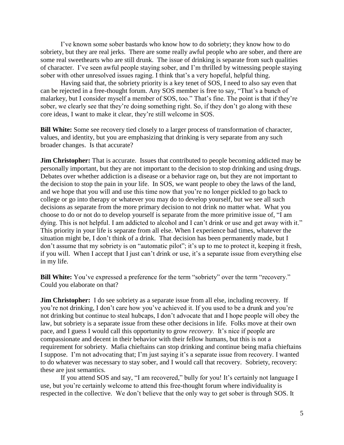I've known some sober bastards who know how to do sobriety; they know how to do sobriety, but they are real jerks. There are some really awful people who are sober, and there are some real sweethearts who are still drunk. The issue of drinking is separate from such qualities of character. I've seen awful people staying sober, and I'm thrilled by witnessing people staying sober with other unresolved issues raging. I think that's a very hopeful, helpful thing.

Having said that, the sobriety priority is a key tenet of SOS, I need to also say even that can be rejected in a free-thought forum. Any SOS member is free to say, "That's a bunch of malarkey, but I consider myself a member of SOS, too." That's fine. The point is that if they're sober, we clearly see that they're doing something right. So, if they don't go along with these core ideas, I want to make it clear, they're still welcome in SOS.

**Bill White:** Some see recovery tied closely to a larger process of transformation of character, values, and identity, but you are emphasizing that drinking is very separate from any such broader changes. Is that accurate?

**Jim Christopher:** That is accurate. Issues that contributed to people becoming addicted may be personally important, but they are not important to the decision to stop drinking and using drugs. Debates over whether addiction is a disease or a behavior rage on, but they are not important to the decision to stop the pain in your life. In SOS, we want people to obey the laws of the land, and we hope that you will and use this time now that you're no longer pickled to go back to college or go into therapy or whatever you may do to develop yourself, but we see all such decisions as separate from the more primary decision to not drink no matter what. What you choose to do or not do to develop yourself is separate from the more primitive issue of, "I am dying. This is not helpful. I am addicted to alcohol and I can't drink or use and get away with it." This priority in your life is separate from all else. When I experience bad times, whatever the situation might be, I don't think of a drink. That decision has been permanently made, but I don't assume that my sobriety is on "automatic pilot"; it's up to me to protect it, keeping it fresh, if you will. When I accept that I just can't drink or use, it's a separate issue from everything else in my life.

**Bill White:** You've expressed a preference for the term "sobriety" over the term "recovery." Could you elaborate on that?

**Jim Christopher:** I do see sobriety as a separate issue from all else, including recovery. If you're not drinking, I don't care how you've achieved it. If you used to be a drunk and you're not drinking but continue to steal hubcaps, I don't advocate that and I hope people will obey the law, but sobriety is a separate issue from these other decisions in life. Folks move at their own pace, and I guess I would call this opportunity to grow *recovery*. It's nice if people are compassionate and decent in their behavior with their fellow humans, but this is not a requirement for sobriety. Mafia chieftains can stop drinking and continue being mafia chieftains I suppose. I'm not advocating that; I'm just saying it's a separate issue from recovery. I wanted to do whatever was necessary to stay sober, and I would call that recovery. Sobriety, recovery: these are just semantics.

If you attend SOS and say, "I am recovered," bully for you! It's certainly not language I use, but you're certainly welcome to attend this free-thought forum where individuality is respected in the collective. We don't believe that the only way to get sober is through SOS. It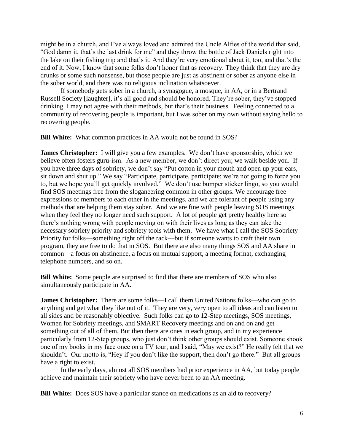might be in a church, and I've always loved and admired the Uncle Alfies of the world that said, "God damn it, that's the last drink for me" and they throw the bottle of Jack Daniels right into the lake on their fishing trip and that's it. And they're very emotional about it, too, and that's the end of it. Now, I know that some folks don't honor that as recovery. They think that they are dry drunks or some such nonsense, but those people are just as abstinent or sober as anyone else in the sober world, and there was no religious inclination whatsoever.

If somebody gets sober in a church, a synagogue, a mosque, in AA, or in a Bertrand Russell Society [laughter], it's all good and should be honored. They're sober, they've stopped drinking. I may not agree with their methods, but that's their business. Feeling connected to a community of recovering people is important, but I was sober on my own without saying hello to recovering people.

**Bill White:** What common practices in AA would not be found in SOS?

**James Christopher:** I will give you a few examples. We don't have sponsorship, which we believe often fosters guru-ism. As a new member, we don't direct you; we walk beside you. If you have three days of sobriety, we don't say "Put cotton in your mouth and open up your ears, sit down and shut up." We say "Participate, participate, participate; we're not going to force you to, but we hope you'll get quickly involved." We don't use bumper sticker lingo, so you would find SOS meetings free from the sloganeering common in other groups. We encourage free expressions of members to each other in the meetings, and we are tolerant of people using any methods that are helping them stay sober. And we are fine with people leaving SOS meetings when they feel they no longer need such support. A lot of people get pretty healthy here so there's nothing wrong with people moving on with their lives as long as they can take the necessary sobriety priority and sobriety tools with them. We have what I call the SOS Sobriety Priority for folks—something right off the rack—but if someone wants to craft their own program, they are free to do that in SOS. But there are also many things SOS and AA share in common—a focus on abstinence, a focus on mutual support, a meeting format, exchanging telephone numbers, and so on.

**Bill White:** Some people are surprised to find that there are members of SOS who also simultaneously participate in AA.

**James Christopher:** There are some folks—I call them United Nations folks—who can go to anything and get what they like out of it. They are very, very open to all ideas and can listen to all sides and be reasonably objective. Such folks can go to 12-Step meetings, SOS meetings, Women for Sobriety meetings, and SMART Recovery meetings and on and on and get something out of all of them. But then there are ones in each group, and in my experience particularly from 12-Step groups, who just don't think other groups should exist. Someone shook one of my books in my face once on a TV tour, and I said, "May we exist?" He really felt that we shouldn't. Our motto is, "Hey if you don't like the support, then don't go there." But all groups have a right to exist.

In the early days, almost all SOS members had prior experience in AA, but today people achieve and maintain their sobriety who have never been to an AA meeting.

**Bill White:** Does SOS have a particular stance on medications as an aid to recovery?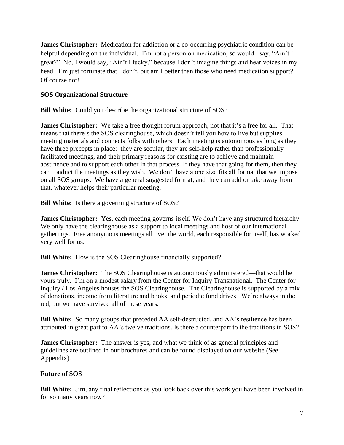**James Christopher:** Medication for addiction or a co-occurring psychiatric condition can be helpful depending on the individual. I'm not a person on medication, so would I say, "Ain't I great?" No, I would say, "Ain't I lucky," because I don't imagine things and hear voices in my head. I'm just fortunate that I don't, but am I better than those who need medication support? Of course not!

### **SOS Organizational Structure**

**Bill White:** Could you describe the organizational structure of SOS?

**James Christopher:** We take a free thought forum approach, not that it's a free for all. That means that there's the SOS clearinghouse, which doesn't tell you how to live but supplies meeting materials and connects folks with others. Each meeting is autonomous as long as they have three precepts in place: they are secular, they are self-help rather than professionally facilitated meetings, and their primary reasons for existing are to achieve and maintain abstinence and to support each other in that process. If they have that going for them, then they can conduct the meetings as they wish. We don't have a one size fits all format that we impose on all SOS groups. We have a general suggested format, and they can add or take away from that, whatever helps their particular meeting.

**Bill White:** Is there a governing structure of SOS?

**James Christopher:** Yes, each meeting governs itself. We don't have any structured hierarchy. We only have the clearinghouse as a support to local meetings and host of our international gatherings. Free anonymous meetings all over the world, each responsible for itself, has worked very well for us.

**Bill White:** How is the SOS Clearinghouse financially supported?

**James Christopher:** The SOS Clearinghouse is autonomously administered—that would be yours truly. I'm on a modest salary from the Center for Inquiry Transnational. The Center for Inquiry / Los Angeles houses the SOS Clearinghouse. The Clearinghouse is supported by a mix of donations, income from literature and books, and periodic fund drives. We're always in the red, but we have survived all of these years.

**Bill White:** So many groups that preceded AA self-destructed, and AA's resilience has been attributed in great part to AA's twelve traditions. Is there a counterpart to the traditions in SOS?

**James Christopher:** The answer is yes, and what we think of as general principles and guidelines are outlined in our brochures and can be found displayed on our website (See Appendix).

### **Future of SOS**

**Bill White:** Jim, any final reflections as you look back over this work you have been involved in for so many years now?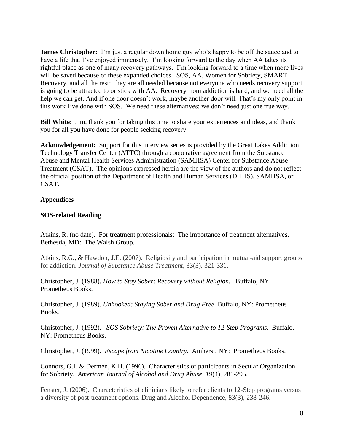**James Christopher:** I'm just a regular down home guy who's happy to be off the sauce and to have a life that I've enjoyed immensely. I'm looking forward to the day when AA takes its rightful place as one of many recovery pathways. I'm looking forward to a time when more lives will be saved because of these expanded choices. SOS, AA, Women for Sobriety, SMART Recovery, and all the rest: they are all needed because not everyone who needs recovery support is going to be attracted to or stick with AA. Recovery from addiction is hard, and we need all the help we can get. And if one door doesn't work, maybe another door will. That's my only point in this work I've done with SOS. We need these alternatives; we don't need just one true way.

**Bill White:** Jim, thank you for taking this time to share your experiences and ideas, and thank you for all you have done for people seeking recovery.

**Acknowledgement:** Support for this interview series is provided by the Great Lakes Addiction Technology Transfer Center (ATTC) through a cooperative agreement from the Substance Abuse and Mental Health Services Administration (SAMHSA) Center for Substance Abuse Treatment (CSAT). The opinions expressed herein are the view of the authors and do not reflect the official position of the Department of Health and Human Services (DHHS), SAMHSA, or CSAT.

### **Appendices**

### **SOS-related Reading**

Atkins, R. (no date). For treatment professionals: The importance of treatment alternatives. Bethesda, MD: The Walsh Group.

Atkins, R.G., & Hawdon, J.E. (2007). Religiosity and participation in mutual-aid support groups for addiction. *Journal of Substance Abuse Treatment*, 33(3), 321-331.

Christopher, J. (1988). *How to Stay Sober: Recovery without Religion.* Buffalo, NY: Prometheus Books.

Christopher, J. (1989). *Unhooked: Staying Sober and Drug Free.* Buffalo, NY: Prometheus Books.

Christopher, J. (1992). *SOS Sobriety: The Proven Alternative to 12-Step Programs.* Buffalo, NY: Prometheus Books.

Christopher, J. (1999). *Escape from Nicotine Country*. Amherst, NY: Prometheus Books.

Connors, G.J. & Dermen, K.H. (1996). Characteristics of participants in Secular Organization for Sobriety. *American Journal of Alcohol and Drug Abuse*, *19*(4), 281-295.

Fenster, J. (2006). Characteristics of clinicians likely to refer clients to 12-Step programs versus a diversity of post-treatment options. Drug and Alcohol Dependence, 83(3), 238-246.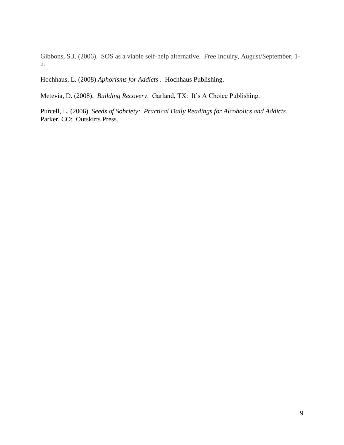Gibbons, S.J. (2006). SOS as a viable self-help alternative. Free Inquiry, August/September, 1- 2.

Hochhaus, L. (2008) *Aphorisms for Addicts* . Hochhaus Publishing.

Metevia, D. (2008). *Building Recovery*. Garland, TX: It's A Choice Publishing.

Purcell, L. (2006) *Seeds of Sobriety: Practical Daily Readings for Alcoholics and Addicts.*  Parker, CO: Outskirts Press.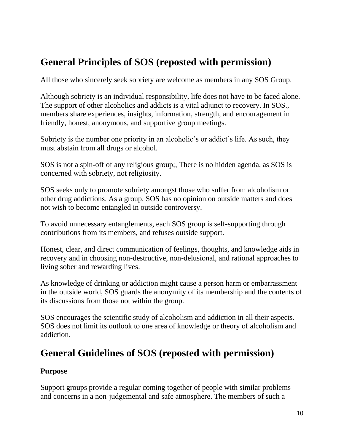# **General Principles of SOS (reposted with permission)**

All those who sincerely seek sobriety are welcome as members in any SOS Group.

Although sobriety is an individual responsibility, life does not have to be faced alone. The support of other alcoholics and addicts is a vital adjunct to recovery. In SOS., members share experiences, insights, information, strength, and encouragement in friendly, honest, anonymous, and supportive group meetings.

Sobriety is the number one priority in an alcoholic's or addict's life. As such, they must abstain from all drugs or alcohol.

SOS is not a spin-off of any religious group;, There is no hidden agenda, as SOS is concerned with sobriety, not religiosity.

SOS seeks only to promote sobriety amongst those who suffer from alcoholism or other drug addictions. As a group, SOS has no opinion on outside matters and does not wish to become entangled in outside controversy.

To avoid unnecessary entanglements, each SOS group is self-supporting through contributions from its members, and refuses outside support.

Honest, clear, and direct communication of feelings, thoughts, and knowledge aids in recovery and in choosing non-destructive, non-delusional, and rational approaches to living sober and rewarding lives.

As knowledge of drinking or addiction might cause a person harm or embarrassment in the outside world, SOS guards the anonymity of its membership and the contents of its discussions from those not within the group.

SOS encourages the scientific study of alcoholism and addiction in all their aspects. SOS does not limit its outlook to one area of knowledge or theory of alcoholism and addiction.

# **General Guidelines of SOS (reposted with permission)**

## **Purpose**

Support groups provide a regular coming together of people with similar problems and concerns in a non-judgemental and safe atmosphere. The members of such a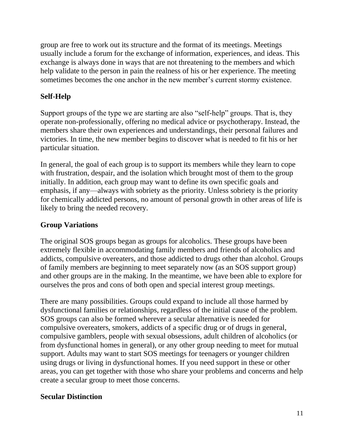group are free to work out its structure and the format of its meetings. Meetings usually include a forum for the exchange of information, experiences, and ideas. This exchange is always done in ways that are not threatening to the members and which help validate to the person in pain the realness of his or her experience. The meeting sometimes becomes the one anchor in the new member's current stormy existence.

## **Self-Help**

Support groups of the type we are starting are also "self-help" groups. That is, they operate non-professionally, offering no medical advice or psychotherapy. Instead, the members share their own experiences and understandings, their personal failures and victories. In time, the new member begins to discover what is needed to fit his or her particular situation.

In general, the goal of each group is to support its members while they learn to cope with frustration, despair, and the isolation which brought most of them to the group initially. In addition, each group may want to define its own specific goals and emphasis, if any—always with sobriety as the priority. Unless sobriety is the priority for chemically addicted persons, no amount of personal growth in other areas of life is likely to bring the needed recovery.

## **Group Variations**

The original SOS groups began as groups for alcoholics. These groups have been extremely flexible in accommodating family members and friends of alcoholics and addicts, compulsive overeaters, and those addicted to drugs other than alcohol. Groups of family members are beginning to meet separately now (as an SOS support group) and other groups are in the making. In the meantime, we have been able to explore for ourselves the pros and cons of both open and special interest group meetings.

There are many possibilities. Groups could expand to include all those harmed by dysfunctional families or relationships, regardless of the initial cause of the problem. SOS groups can also be formed wherever a secular alternative is needed for compulsive overeaters, smokers, addicts of a specific drug or of drugs in general, compulsive gamblers, people with sexual obsessions, adult children of alcoholics (or from dysfunctional homes in general), or any other group needing to meet for mutual support. Adults may want to start SOS meetings for teenagers or younger children using drugs or living in dysfunctional homes. If you need support in these or other areas, you can get together with those who share your problems and concerns and help create a secular group to meet those concerns.

## **Secular Distinction**